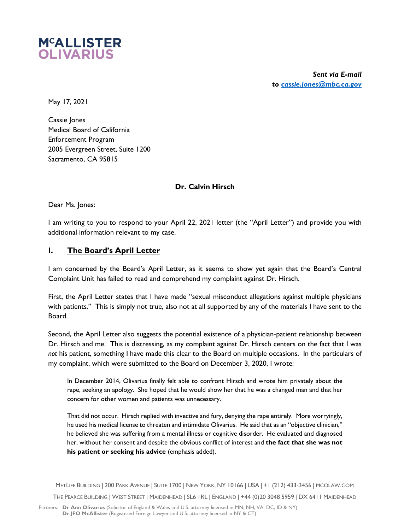

*Sent via E-mail to cassie.jones@mbc.ca.gov* 

May 17, 2021

Cassie Jones Medical Board of California Enforcement Program 2005 Evergreen Street, Suite 1200 Sacramento, CA 95815

## **Dr. Calvin Hirsch**

Dear Ms. Jones:

I am writing to you to respond to your April 22, 2021 letter (the "April Letter") and provide you with additional information relevant to my case.

## **I. The Board's April Letter**

I am concerned by the Board's April Letter, as it seems to show yet again that the Board's Central Complaint Unit has failed to read and comprehend my complaint against Dr. Hirsch.

First, the April Letter states that I have made "sexual misconduct allegations against multiple physicians with patients." This is simply not true, also not at all supported by any of the materials I have sent to the Board.

Second, the April Letter also suggests the potential existence of a physician-patient relationship between Dr. Hirsch and me. This is distressing, as my complaint against Dr. Hirsch centers on the fact that I was *not* his patient, something I have made this clear to the Board on multiple occasions. In the particulars of my complaint, which were submitted to the Board on December 3, 2020, I wrote:

In December 2014, Olivarius finally felt able to confront Hirsch and wrote him privately about the rape, seeking an apology. She hoped that he would show her that he was a changed man and that her concern for other women and patients was unnecessary.

That did not occur. Hirsch replied with invective and fury, denying the rape entirely. More worryingly, he used his medical license to threaten and intimidate Olivarius. He said that as an "objective clinician," he believed she was suffering from a mental illness or cognitive disorder. He evaluated and diagnosed her, without her consent and despite the obvious conflict of interest and **the fact that she was not his patient or seeking his advice** (emphasis added).

METLIFE BUILDING | 200 PARK AVENUE | SUITE 1700 | NEW YORK, NY 10166 | USA | +1 (212) 433-3456 | MCOLAW.COM

THE PEARCE BUILDING | WEST STREET | MAIDENHEAD | SL6 1RL | ENGLAND | +44 (0)20 3048 5959 | DX 6411 MAIDENHEAD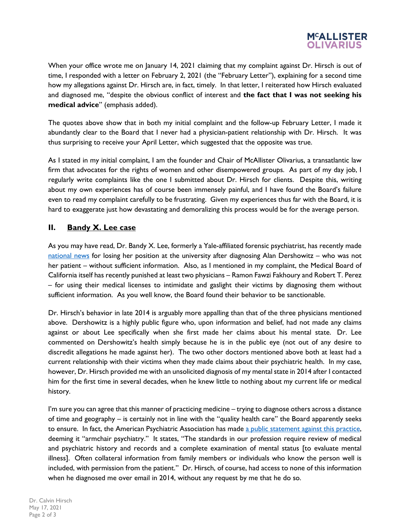

When your office wrote me on January 14, 2021 claiming that my complaint against Dr. Hirsch is out of time, I responded with a letter on February 2, 2021 (the "February Letter"), explaining for a second time how my allegations against Dr. Hirsch are, in fact, timely. In that letter, I reiterated how Hirsch evaluated and diagnosed me, "despite the obvious conflict of interest and **the fact that I was not seeking his medical advice**" (emphasis added).

The quotes above show that in both my initial complaint and the follow-up February Letter, I made it abundantly clear to the Board that I never had a physician-patient relationship with Dr. Hirsch. It was thus surprising to receive your April Letter, which suggested that the opposite was true.

As I stated in my initial complaint, I am the founder and Chair of McAllister Olivarius, a transatlantic law firm that advocates for the rights of women and other disempowered groups. As part of my day job, I regularly write complaints like the one I submitted about Dr. Hirsch for clients. Despite this, writing about my own experiences has of course been immensely painful, and I have found the Board's failure even to read my complaint carefully to be frustrating. Given my experiences thus far with the Board, it is hard to exaggerate just how devastating and demoralizing this process would be for the average person.

## **II. Bandy X. Lee case**

As you may have read, Dr. Bandy X. Lee, formerly a Yale-affiliated forensic psychiatrist, has recently made national news for losing her position at the university after diagnosing Alan Dershowitz – who was not her patient – without sufficient information. Also, as I mentioned in my complaint, the Medical Board of California itself has recently punished at least two physicians – Ramon Fawzi Fakhoury and Robert T. Perez – for using their medical licenses to intimidate and gaslight their victims by diagnosing them without sufficient information. As you well know, the Board found their behavior to be sanctionable.

Dr. Hirsch's behavior in late 2014 is arguably more appalling than that of the three physicians mentioned above. Dershowitz is a highly public figure who, upon information and belief, had not made any claims against or about Lee specifically when she first made her claims about his mental state. Dr. Lee commented on Dershowitz's health simply because he is in the public eye (not out of any desire to discredit allegations he made against her). The two other doctors mentioned above both at least had a current relationship with their victims when they made claims about their psychiatric health. In my case, however, Dr. Hirsch provided me with an unsolicited diagnosis of my mental state in 2014 after I contacted him for the first time in several decades, when he knew little to nothing about my current life or medical history.

I'm sure you can agree that this manner of practicing medicine – trying to diagnose others across a distance of time and geography – is certainly not in line with the "quality health care" the Board apparently seeks to ensure. In fact, the American Psychiatric Association has made a public statement against this practice, deeming it "armchair psychiatry." It states, "The standards in our profession require review of medical and psychiatric history and records and a complete examination of mental status [to evaluate mental illness]. Often collateral information from family members or individuals who know the person well is included, with permission from the patient." Dr. Hirsch, of course, had access to none of this information when he diagnosed me over email in 2014, without any request by me that he do so.